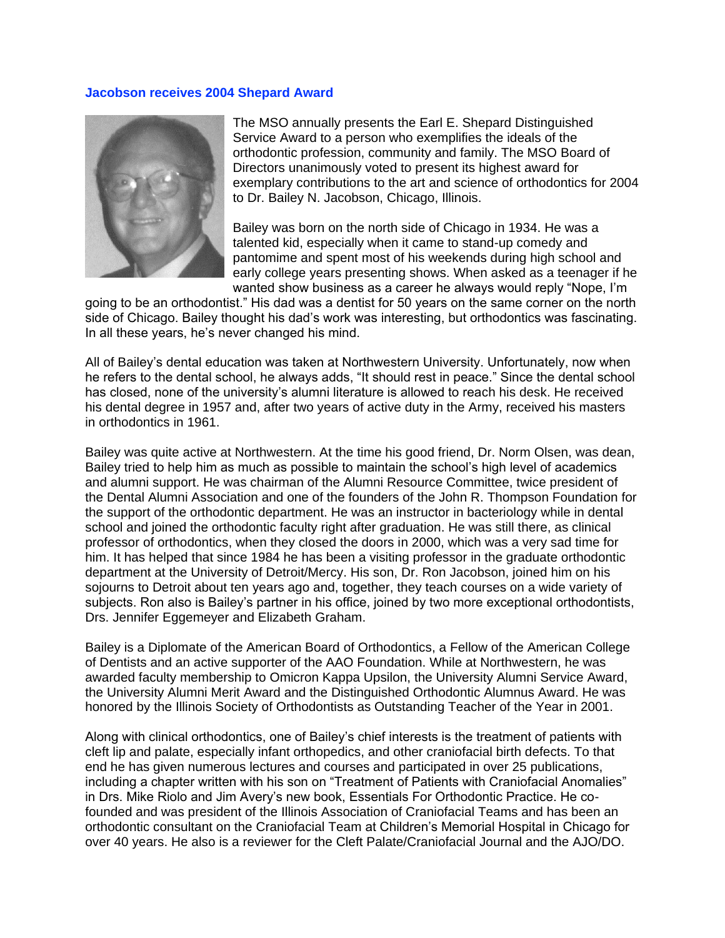## **Jacobson receives 2004 Shepard Award**



The MSO annually presents the Earl E. Shepard Distinguished Service Award to a person who exemplifies the ideals of the orthodontic profession, community and family. The MSO Board of Directors unanimously voted to present its highest award for exemplary contributions to the art and science of orthodontics for 2004 to Dr. Bailey N. Jacobson, Chicago, Illinois.

Bailey was born on the north side of Chicago in 1934. He was a talented kid, especially when it came to stand-up comedy and pantomime and spent most of his weekends during high school and early college years presenting shows. When asked as a teenager if he wanted show business as a career he always would reply "Nope, I'm

going to be an orthodontist." His dad was a dentist for 50 years on the same corner on the north side of Chicago. Bailey thought his dad's work was interesting, but orthodontics was fascinating. In all these years, he's never changed his mind.

All of Bailey's dental education was taken at Northwestern University. Unfortunately, now when he refers to the dental school, he always adds, "It should rest in peace." Since the dental school has closed, none of the university's alumni literature is allowed to reach his desk. He received his dental degree in 1957 and, after two years of active duty in the Army, received his masters in orthodontics in 1961.

Bailey was quite active at Northwestern. At the time his good friend, Dr. Norm Olsen, was dean, Bailey tried to help him as much as possible to maintain the school's high level of academics and alumni support. He was chairman of the Alumni Resource Committee, twice president of the Dental Alumni Association and one of the founders of the John R. Thompson Foundation for the support of the orthodontic department. He was an instructor in bacteriology while in dental school and joined the orthodontic faculty right after graduation. He was still there, as clinical professor of orthodontics, when they closed the doors in 2000, which was a very sad time for him. It has helped that since 1984 he has been a visiting professor in the graduate orthodontic department at the University of Detroit/Mercy. His son, Dr. Ron Jacobson, joined him on his sojourns to Detroit about ten years ago and, together, they teach courses on a wide variety of subjects. Ron also is Bailey's partner in his office, joined by two more exceptional orthodontists, Drs. Jennifer Eggemeyer and Elizabeth Graham.

Bailey is a Diplomate of the American Board of Orthodontics, a Fellow of the American College of Dentists and an active supporter of the AAO Foundation. While at Northwestern, he was awarded faculty membership to Omicron Kappa Upsilon, the University Alumni Service Award, the University Alumni Merit Award and the Distinguished Orthodontic Alumnus Award. He was honored by the Illinois Society of Orthodontists as Outstanding Teacher of the Year in 2001.

Along with clinical orthodontics, one of Bailey's chief interests is the treatment of patients with cleft lip and palate, especially infant orthopedics, and other craniofacial birth defects. To that end he has given numerous lectures and courses and participated in over 25 publications, including a chapter written with his son on "Treatment of Patients with Craniofacial Anomalies" in Drs. Mike Riolo and Jim Avery's new book, Essentials For Orthodontic Practice. He cofounded and was president of the Illinois Association of Craniofacial Teams and has been an orthodontic consultant on the Craniofacial Team at Children's Memorial Hospital in Chicago for over 40 years. He also is a reviewer for the Cleft Palate/Craniofacial Journal and the AJO/DO.